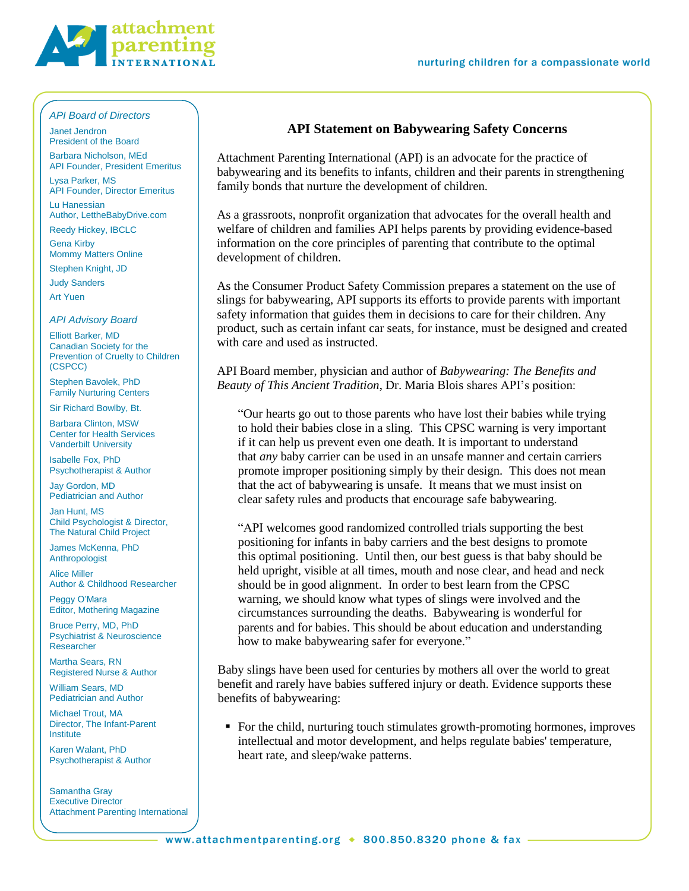

## *API Board of Directors*

Janet Jendron President of the Board Barbara Nicholson, MEd

API Founder, President Emeritus Lysa Parker, MS

API Founder, Director Emeritus Lu Hanessian

Author, LettheBabyDrive.com

Reedy Hickey, IBCLC

Gena Kirby Mommy Matters Online

Stephen Knight, JD

Judy Sanders

Art Yuen

## *API Advisory Board*

Elliott Barker, MD Canadian Society for the Prevention of Cruelty to Children (CSPCC)

Stephen Bavolek, PhD Family Nurturing Centers

Sir Richard Bowlby, Bt.

Barbara Clinton, MSW Center for Health Services Vanderbilt University

Isabelle Fox, PhD Psychotherapist & Author

Jay Gordon, MD Pediatrician and Author

Jan Hunt, MS Child Psychologist & Director, The Natural Child Project

James McKenna, PhD Anthropologist

Alice Miller Author & Childhood Researcher

Peggy O'Mara Editor, Mothering Magazine

Bruce Perry, MD, PhD Psychiatrist & Neuroscience Researcher

Martha Sears, RN Registered Nurse & Author

William Sears, MD Pediatrician and Author

Michael Trout, MA Director, The Infant-Parent Institute

Karen Walant, PhD Psychotherapist & Author

Samantha Gray Executive Director Attachment Parenting International

## **API Statement on Babywearing Safety Concerns**

Attachment Parenting International (API) is an advocate for the practice of babywearing and its benefits to infants, children and their parents in strengthening family bonds that nurture the development of children.

As a grassroots, nonprofit organization that advocates for the overall health and welfare of children and families API helps parents by providing evidence-based information on the core principles of parenting that contribute to the optimal development of children.

As the Consumer Product Safety Commission prepares a statement on the use of slings for babywearing, API supports its efforts to provide parents with important safety information that guides them in decisions to care for their children. Any product, such as certain infant car seats, for instance, must be designed and created with care and used as instructed.

API Board member, physician and author of *Babywearing: The Benefits and Beauty of This Ancient Tradition*, Dr. Maria Blois shares API's position:

"Our hearts go out to those parents who have lost their babies while trying to hold their babies close in a sling. This CPSC warning is very important if it can help us prevent even one death. It is important to understand that *any* baby carrier can be used in an unsafe manner and certain carriers promote improper positioning simply by their design. This does not mean that the act of babywearing is unsafe. It means that we must insist on clear safety rules and products that encourage safe babywearing.

"API welcomes good randomized controlled trials supporting the best positioning for infants in baby carriers and the best designs to promote this optimal positioning. Until then, our best guess is that baby should be held upright, visible at all times, mouth and nose clear, and head and neck should be in good alignment. In order to best learn from the CPSC warning, we should know what types of slings were involved and the circumstances surrounding the deaths. Babywearing is wonderful for parents and for babies. This should be about education and understanding how to make babywearing safer for everyone."

Baby slings have been used for centuries by mothers all over the world to great benefit and rarely have babies suffered injury or death. Evidence supports these benefits of babywearing:

 For the child, nurturing touch stimulates growth-promoting hormones, improves intellectual and motor development, and helps regulate babies' temperature, heart rate, and sleep/wake patterns.